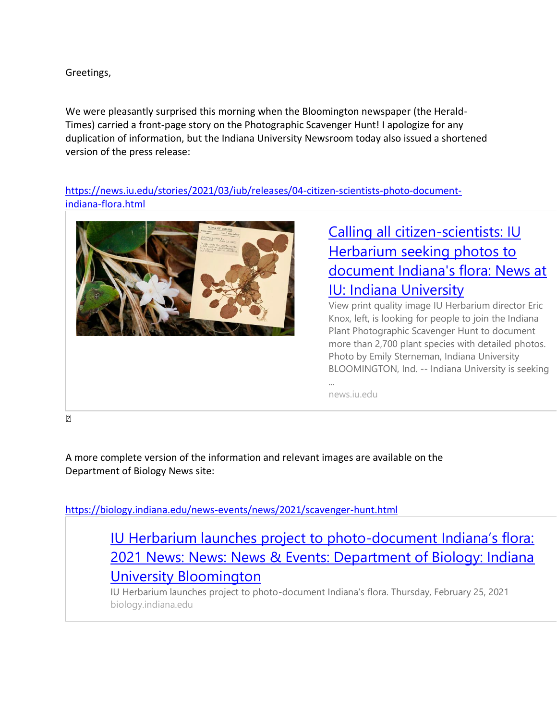Greetings,

We were pleasantly surprised this morning when the Bloomington newspaper (the Herald-Times) carried a front-page story on the Photographic Scavenger Hunt! I apologize for any duplication of information, but the Indiana University Newsroom today also issued a shortened version of the press release:

[https://news.iu.edu/stories/2021/03/iub/releases/04-citizen-scientists-photo-document](https://news.iu.edu/stories/2021/03/iub/releases/04-citizen-scientists-photo-document-indiana-flora.html)[indiana-flora.html](https://news.iu.edu/stories/2021/03/iub/releases/04-citizen-scientists-photo-document-indiana-flora.html)



## [Calling all citizen-scientists: IU](https://news.iu.edu/stories/2021/03/iub/releases/04-citizen-scientists-photo-document-indiana-flora.html)  [Herbarium seeking photos to](https://news.iu.edu/stories/2021/03/iub/releases/04-citizen-scientists-photo-document-indiana-flora.html)  [document Indiana's flora: News at](https://news.iu.edu/stories/2021/03/iub/releases/04-citizen-scientists-photo-document-indiana-flora.html)  [IU: Indiana University](https://news.iu.edu/stories/2021/03/iub/releases/04-citizen-scientists-photo-document-indiana-flora.html)

View print quality image IU Herbarium director Eric Knox, left, is looking for people to join the Indiana Plant Photographic Scavenger Hunt to document more than 2,700 plant species with detailed photos. Photo by Emily Sterneman, Indiana University BLOOMINGTON, Ind. -- Indiana University is seeking

news.iu.edu

 $\overline{P}$ 

A more complete version of the information and relevant images are available on the Department of Biology News site:

<https://biology.indiana.edu/news-events/news/2021/scavenger-hunt.html>

[IU Herbarium launches project to photo-](https://biology.indiana.edu/news-events/news/2021/scavenger-hunt.html)document Indiana's flora: [2021 News: News: News & Events: Department of Biology: Indiana](https://biology.indiana.edu/news-events/news/2021/scavenger-hunt.html)  [University Bloomington](https://biology.indiana.edu/news-events/news/2021/scavenger-hunt.html)

IU Herbarium launches project to photo-document Indiana's flora. Thursday, February 25, 2021 biology.indiana.edu